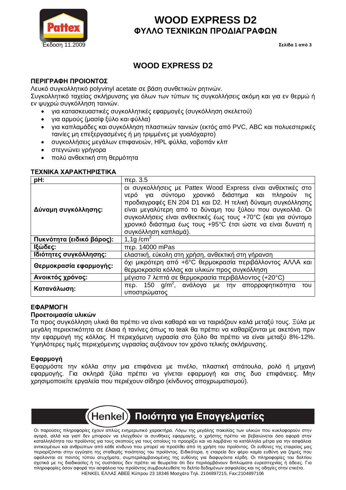

# **WOOD EXPRESS D2 <u></u>ΌΥΛΛΟ ΤΕΧΝΙΚΩΝ ΠΡΟΔΙΑΓΡΑΦΩΝ**

# **WOOD EXPRESS D2**

## **ΠΕΡΙΓΡΑΦΗ ΠΡΟΙΟΝΤΟΣ**

Λευκό συνκολλητικό polyvinyl acetate σε βάση συνθετικών ρητινών.

Συνκολλητικό ταχείας σκλήρυνσης νια όλων των τύπων τις συνκολλήσεις ακόμη και νια εν θερμώ ή εν ψυχρώ συγκόλληση ταινιών.

- για κατασκευαστικές συγκολλητικές εφαρμογές (συγκόλληση σκελετού)
- για αρμούς (μασίφ ξύλο και φύλλα)
- για καπλαμάδες και συγκόλληση πλαστικών ταινιών (εκτός από PVC, ABC και πολυεστερικές Tαινίες μη επεξεργασμένες ή μη τριμμένες με γυαλόχαρτο)
- συγκολλήσεις μεγάλων επιφανειών, HPL φύλλα, νοβοπάν κλπ
- · στεγνώνει γρήγορα
- πολύ ανθεκτική στη θερμότητα

#### **TEXNIKA XAPAKTHPITTIKA**

| pH:                       | περ. 3.5                                                                                                                                                                                                                                                                                                                                                                                               |  |  |
|---------------------------|--------------------------------------------------------------------------------------------------------------------------------------------------------------------------------------------------------------------------------------------------------------------------------------------------------------------------------------------------------------------------------------------------------|--|--|
| Δύναμη συγκόλλησης:       | οι συγκολλήσεις με Pattex Wood Express είναι ανθεκτικές στο<br>νερό για σύντομο χρονικό διάστημα και πληρούν<br>TIC<br>προδιαγραφές EN 204 D1 και D2. Η τελική δύναμη συγκόλλησης<br>είναι μεγαλύτερη από το δύναμη του ξύλου που συγκολλά. Οι<br>συγκολλήσεις είναι ανθεκτικές έως τους +70°C (και για σύντομο<br>χρονικό διάστημα έως τους +95°C έτσι ώστε να είναι δυνατή η<br>συγκόλληση καπλαμά). |  |  |
| Πυκνότητα (ειδικό βάρος): | 1,1g/ $cm3$                                                                                                                                                                                                                                                                                                                                                                                            |  |  |
| Ιξώδες:                   | περ. 14000 mPas                                                                                                                                                                                                                                                                                                                                                                                        |  |  |
| Ιδιότητες συγκόλλησης:    | ελαστική, εύκολη στη χρήση, ανθεκτική στη γήρανση                                                                                                                                                                                                                                                                                                                                                      |  |  |
| Θερμοκρασία εφαρμογής:    | όχι μικρότερη από +6°C θερμοκρασία περιβάλλοντος ΑΛΛΑ και<br>θερμοκρασία κόλλας και υλικών προς συγκόλληση                                                                                                                                                                                                                                                                                             |  |  |
| Ανοικτός χρόνος:          | μέγιστο 7 λεπτά σε θερμοκρασία περιβάλλοντος (+20°C)                                                                                                                                                                                                                                                                                                                                                   |  |  |
| Κατανάλωση:               | περ. 150 g/m <sup>2</sup> , ανάλογα με την απορροφητικότητα<br>TOU<br>υποστρώματος                                                                                                                                                                                                                                                                                                                     |  |  |

### E**ΦAPMOFH**

#### Προετοιμασία υλικών

Τα προς συνκόλληση υλικά θα πρέπει να είναι καθαρά και να ταιριάζουν καλά μεταξύ τους. Ξύλα με LIEVÁΛΝ ΠΕΩΙΕΚΤΙΚΟΊΠΤΩ σε έλαια ή τανίνες όπως το teak θα πρέπει να καθαρίζονται με ακετόνη πριν In εφαρμογή της κόλλας. Η περιεχόμενη υγρασία στο ξύλο θα πρέπει να είναι μεταξύ 8%-12%. Υψηλότερες τιμές περιεχόμενης υγρασίας αυξάνουν τον χρόνο τελικής σκλήρυνσης.

### **Εφαρμογή**

Εφαρμόστε την κόλλα στην μια επιφάνεια με πινέλο, πλαστική σπάτουλα, ρολό ή μηχανή εφαρμονής. Για σκληρά ξύλα πρέπει να νίνεται εφαρμονή και στις δυο επιφάνειες. Μην χρησιμοποιείτε ερναλεία που περιέχουν σίδηρο (κίνδυνος αποχρωματισμού).



Οι παρούσες πληροφορίες έχουν απλώς ενημερωτικό χαρακτήρα. Λόγω της μεγάλης ποικιλίας των υλικών που κυκλοφορούν στην αγορά, αλλά και γιατί δεν μπορούν να ελεγχθούν οι συνθήκες εφαρμογής, ο χρήστης πρέπει να βεβαιώνεται όσο αφορά στην καταλληλότητα του προϊόντος για τους σκοπούς για τους οποίους το προορίζει και να λαμβάνει τα κατάλληλα μέτρα για την ασφάλεια αντικειμένων και ανθρώπων από κάθε κίνδυνο που μπορεί να προέλθει από τη χρήση του προϊόντος. Οι ευθύνες της εταιρείας μας περιορίζονται στην εγγύηση της σταθερής ποιότητας του προϊόντος. Ειδικότερα, η εταιρεία δεν φέρει καμία ευθύνη για ζημιές που οφείλονται σε παντός τύπου ατυχήματα, συμπεριλαμβανομένης της ευθύνης για διαφυγόντα κέρδη. Οι πληροφορίες του δελτίου σχετικά με τις διαδικασίες ή τις συστάσεις δεν πρέπει να θεωρείται ότι δεν περιλαμβάνουν διπλώματα ευρεσιτεχνίας ή άδειες. Για πληροφορίες όσον αφορά την ασφάλεια του προϊόντος συμβουλευθείτε το δελτίο δεδομένων ασφαλείας και τις οδηγίες στην ετικέτα. HENKEL ΕΛΛΑΣ ΑΒΕΕ Κύπρου 23 18346 Μοσχάτο Τηλ. 2104897215, Fax:2104897106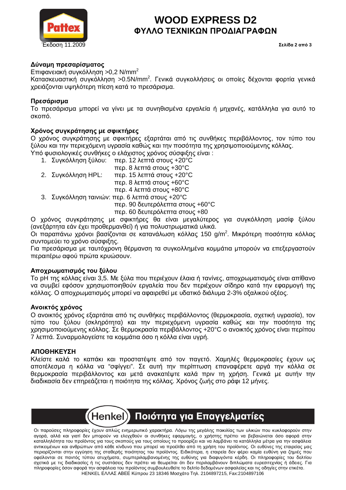

# **WOOD EXPRESS D2 <u></u>ΌΥΛΛΟ ΤΕΧΝΙΚΩΝ ΠΡΟΔΙΑΓΡΑΦΩΝ**

## Δύναμη πρεσαρίσματος

Επιφανειακή συγκόλληση >0,2 N/mm<sup>2</sup>

Κατασκευαστική συγκόλληση >0.5N/mm<sup>2</sup>. Γενικά συγκολλήσεις οι οποίες δέχονται φορτία γενικά χρειάζονται υψηλότερη πίεση κατά το πρεσάρισμα.

### **Πρεσάρισμα**

Το πρεσάρισμα μπορεί να γίνει με τα συνηθισμένα εργαλεία ή μηχανές, κατάλληλα για αυτό το σκοπό.

### **Χρόνος συγκράτησης με σφικτήρες**

Ο χρόνος συγκράτησης με σφικτήρες εξαρτάται από τις συνθήκες περιβάλλοντος, τον τύπο του ξύλου και την περιεχόμενη υγρασία καθώς και την ποσότητα της χρησιμοποιούμενης κόλλας.

Υπό φυσιολογικές συνθήκες ο ελάχιστος χρόνος σύσφιξης είναι: 1. Συνκόλληση ξύλου: περ. 12 λεπτά στους +20°C

| 1.20110110110110011 | $1.00$ . $1.21$ . $1.011$ . $0.000$ . $1.200$            |  |
|---------------------|----------------------------------------------------------|--|
|                     | περ. 8 λεπτά στους +30°C                                 |  |
| 2. Συγκόλληση ΗΡL:  | περ. 15 λεπτά στους +20°C                                |  |
|                     | περ. 8 λεπτά στους +60°C                                 |  |
|                     | περ. 4 λεπτά στους +80°C                                 |  |
|                     | 3. Συγκόλληση ταινιών: περ. 6 λεπτά στους +20°C          |  |
|                     | $\pi$ se 00 $\delta$ su $\pi$ seó) s $\pi$ te $\pi$ zeus |  |

περ. 90 δευτερόλεπτα στους +60°C περ. 60 δευτερόλεπτα στους +80

Ο χρόνος συγκράτησης με σφικτήρες θα είναι μεγαλύτερος για συγκόλληση μασίφ ξύλου (ανεξάρτητα εάν έχει προθερμανθεί) ή νια πολυστρωματικά υλικά.

Οι παραπάνω χρόνοι βασίζονται σε κατανάλωση κόλλας 150 g/m<sup>2</sup>. Μικρότερη ποσότητα κόλλας συντομεύει το χρόνο σύσφιξης.

Για πρεσάρισμα με ταυτόχρονη θέρμανση τα συγκολλημένα κομμάτια μπορούν να επεξεργαστούν περαιτέρω αφού πρώτα κρυώσουν.

### **Αποχρωματισμός του ξύλου**

To pH της κόλλας είναι 3,5. Με ξύλα που περιέχουν έλαια ή τανίνες, αποχρωματισμός είναι απίθανο VΩ συμβεί εφόσον χρησιμοποιηθούν ερναλεία που δεν περιέχουν σίδηρο κατά την εφαρμονή της κόλλας. Ο αποχρωματισμός μπορεί να αφαιρεθεί με υδατικό διάλυμα 2-3% οξαλικού οξέος.

### $A$ νοικτός χρόνος

Ο ανοικτός χρόνος εξαρτάται από τις συνθήκες περιβάλλοντος (θερμοκρασία, σχετική υγρασία), τον IÚΠΟ ΙΟΝ ξύλου (σκληρότητα) και την περιεχόμενη υγρασία καθώς και την ποσότητα της χρησιμοποιούμενης κόλλας. Σε θερμοκρασία περιβάλλοντος +20°C ο ανοικτός χρόνος είναι περίπου 7 λεπτά. Συναρμολογείστε τα κομμάτια όσο η κόλλα είναι υγρή.

#### **ΥΣΗ**

Κλείστε καλά το καπάκι και προστατέψτε από τον παγετό. Χαμηλές θερμοκρασίες έχουν ως αποτέλεσμα η κόλλα να "σφίγνει". Σε αυτή την περίπτωση επαναφέρετε αργά την κόλλα σε θερμοκρασία περιβάλλοντος και μετά ανακατέψτε καλά πριν τη χρήση. Γενικά με αυτήν την διαδικασία δεν επηρεάζεται η ποιότητα της κόλλας. Χρόνος ζωής στο ράφι 12 μήνες.



Οι παρούσες πληροφορίες έχουν απλώς ενημερωτικό χαρακτήρα. Λόγω της μεγάλης ποικιλίας των υλικών που κυκλοφορούν στην αγορά, αλλά και γιατί δεν μπορούν να ελεγχθούν οι συνθήκες εφαρμογής, ο χρήστης πρέπει να βεβαιώνεται όσο αφορά στην καταλληλότητα του προϊόντος για τους σκοπούς για τους οποίους το προορίζει και να λαμβάνει τα κατάλληλα μέτρα για την ασφάλεια αντικειμένων και ανθρώπων από κάθε κίνδυνο που μπορεί να προέλθει από τη χρήση του προϊόντος. Οι ευθύνες της εταιρείας μας περιορίζονται στην εγγύηση της σταθερής ποιότητας του προϊόντος. Ειδικότερα, η εταιρεία δεν φέρει καμία ευθύνη για ζημιές που οφείλονται σε παντός τύπου ατυχήματα, συμπεριλαμβανομένης της ευθύνης για διαφυγόντα κέρδη. Οι πληροφορίες του δελτίου σχετικά με τις διαδικασίες ή τις συστάσεις δεν πρέπει να θεωρείται ότι δεν περιλαμβάνουν διπλώματα ευρεσιτεχνίας ή άδειες. Για πληροφορίες όσον αφορά την ασφάλεια του προϊόντος συμβουλευθείτε το δελτίο δεδομένων ασφαλείας και τις οδηγίες στην ετικέτα. HENKEL ΕΛΛΑΣ ΑΒΕΕ Κύπρου 23 18346 Μοσχάτο Τηλ. 2104897215, Fax:2104897106